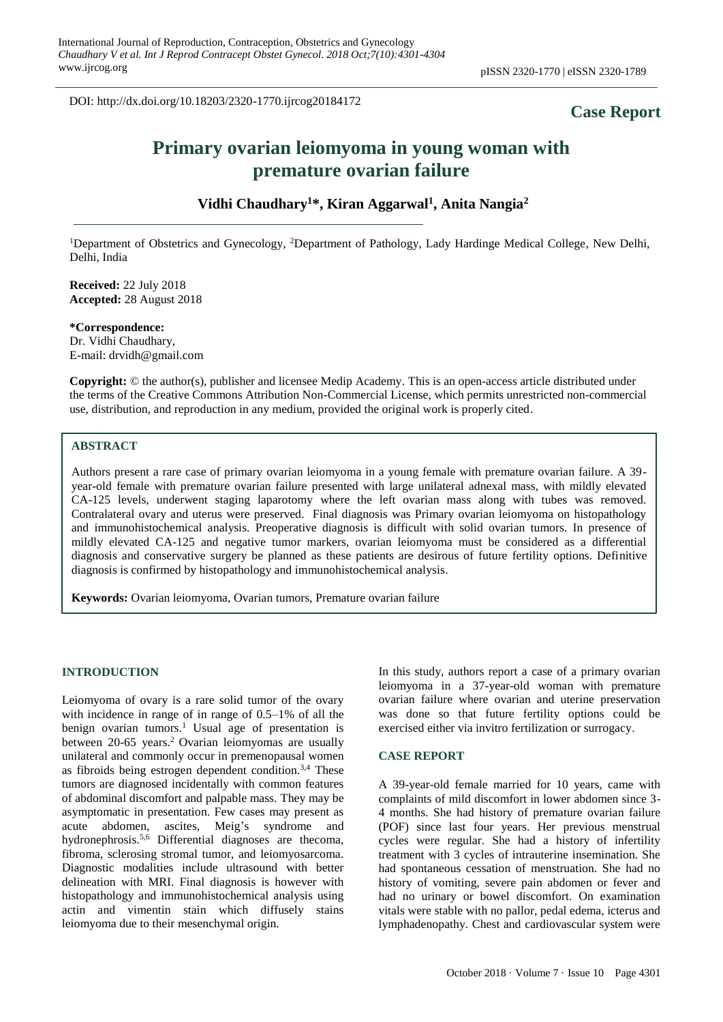DOI: http://dx.doi.org/10.18203/2320-1770.ijrcog20184172

## **Case Report**

# **Primary ovarian leiomyoma in young woman with premature ovarian failure**

**Vidhi Chaudhary<sup>1</sup>\*, Kiran Aggarwal<sup>1</sup> , Anita Nangia<sup>2</sup>**

<sup>1</sup>Department of Obstetrics and Gynecology, <sup>2</sup>Department of Pathology, Lady Hardinge Medical College, New Delhi, Delhi, India

**Received:** 22 July 2018 **Accepted:** 28 August 2018

**\*Correspondence:** Dr. Vidhi Chaudhary, E-mail: drvidh@gmail.com

**Copyright:** © the author(s), publisher and licensee Medip Academy. This is an open-access article distributed under the terms of the Creative Commons Attribution Non-Commercial License, which permits unrestricted non-commercial use, distribution, and reproduction in any medium, provided the original work is properly cited.

### **ABSTRACT**

Authors present a rare case of primary ovarian leiomyoma in a young female with premature ovarian failure. A 39 year-old female with premature ovarian failure presented with large unilateral adnexal mass, with mildly elevated CA-125 levels, underwent staging laparotomy where the left ovarian mass along with tubes was removed. Contralateral ovary and uterus were preserved. Final diagnosis was Primary ovarian leiomyoma on histopathology and immunohistochemical analysis. Preoperative diagnosis is difficult with solid ovarian tumors. In presence of mildly elevated CA-125 and negative tumor markers, ovarian leiomyoma must be considered as a differential diagnosis and conservative surgery be planned as these patients are desirous of future fertility options. Definitive diagnosis is confirmed by histopathology and immunohistochemical analysis.

**Keywords:** Ovarian leiomyoma, Ovarian tumors, Premature ovarian failure

#### **INTRODUCTION**

Leiomyoma of ovary is a rare solid tumor of the ovary with incidence in range of in range of 0.5–1% of all the benign ovarian tumors.<sup>1</sup> Usual age of presentation is between 20-65 years.<sup>2</sup> Ovarian leiomyomas are usually unilateral and commonly occur in premenopausal women as fibroids being estrogen dependent condition.3,4 These tumors are diagnosed incidentally with common features of abdominal discomfort and palpable mass. They may be asymptomatic in presentation. Few cases may present as acute abdomen, ascites, Meig's syndrome and hydronephrosis.5,6 Differential diagnoses are thecoma, fibroma, sclerosing stromal tumor, and leiomyosarcoma. Diagnostic modalities include ultrasound with better delineation with MRI. Final diagnosis is however with histopathology and immunohistochemical analysis using actin and vimentin stain which diffusely stains leiomyoma due to their mesenchymal origin.

In this study, authors report a case of a primary ovarian leiomyoma in a 37-year-old woman with premature ovarian failure where ovarian and uterine preservation was done so that future fertility options could be exercised either via invitro fertilization or surrogacy.

#### **CASE REPORT**

A 39-year-old female married for 10 years, came with complaints of mild discomfort in lower abdomen since 3- 4 months. She had history of premature ovarian failure (POF) since last four years. Her previous menstrual cycles were regular. She had a history of infertility treatment with 3 cycles of intrauterine insemination. She had spontaneous cessation of menstruation. She had no history of vomiting, severe pain abdomen or fever and had no urinary or bowel discomfort. On examination vitals were stable with no pallor, pedal edema, icterus and lymphadenopathy. Chest and cardiovascular system were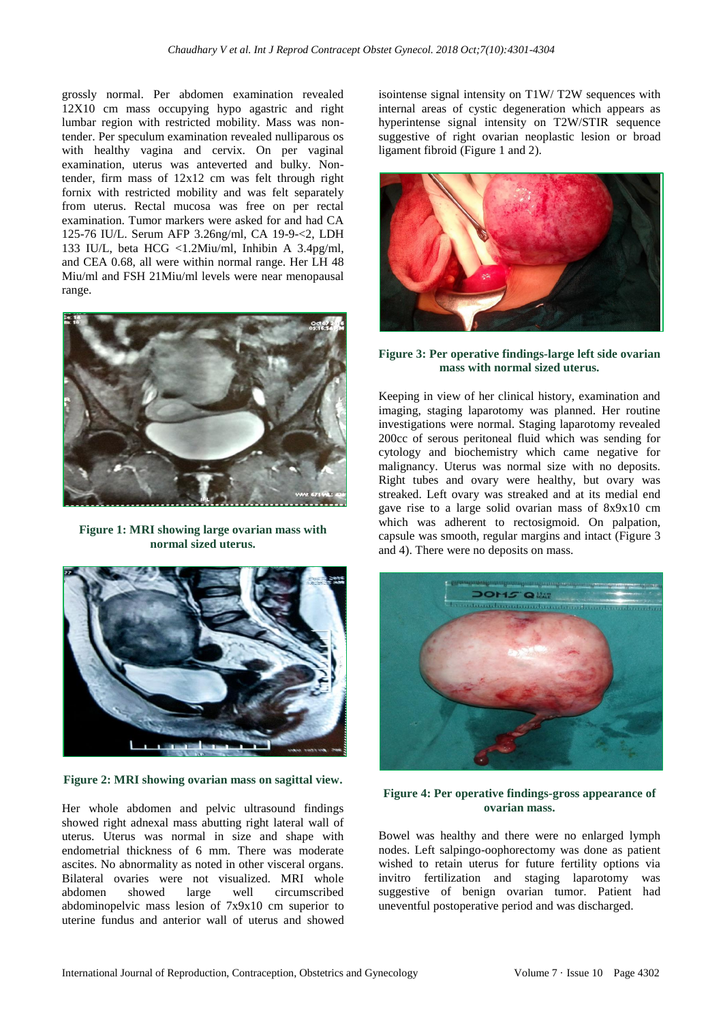grossly normal. Per abdomen examination revealed 12X10 cm mass occupying hypo agastric and right lumbar region with restricted mobility. Mass was nontender. Per speculum examination revealed nulliparous os with healthy vagina and cervix. On per vaginal examination, uterus was anteverted and bulky. Nontender, firm mass of 12x12 cm was felt through right fornix with restricted mobility and was felt separately from uterus. Rectal mucosa was free on per rectal examination. Tumor markers were asked for and had CA 125-76 IU/L. Serum AFP 3.26ng/ml, CA 19-9-<2, LDH 133 IU/L, beta HCG <1.2Miu/ml, Inhibin A 3.4pg/ml, and CEA 0.68, all were within normal range. Her LH 48 Miu/ml and FSH 21Miu/ml levels were near menopausal range.



**Figure 1: MRI showing large ovarian mass with normal sized uterus.**



**Figure 2: MRI showing ovarian mass on sagittal view.**

Her whole abdomen and pelvic ultrasound findings showed right adnexal mass abutting right lateral wall of uterus. Uterus was normal in size and shape with endometrial thickness of 6 mm. There was moderate ascites. No abnormality as noted in other visceral organs. Bilateral ovaries were not visualized. MRI whole abdomen showed large well circumscribed abdominopelvic mass lesion of 7x9x10 cm superior to uterine fundus and anterior wall of uterus and showed isointense signal intensity on T1W/ T2W sequences with internal areas of cystic degeneration which appears as hyperintense signal intensity on T2W/STIR sequence suggestive of right ovarian neoplastic lesion or broad ligament fibroid (Figure 1 and 2).



#### **Figure 3: Per operative findings-large left side ovarian mass with normal sized uterus.**

Keeping in view of her clinical history, examination and imaging, staging laparotomy was planned. Her routine investigations were normal. Staging laparotomy revealed 200cc of serous peritoneal fluid which was sending for cytology and biochemistry which came negative for malignancy. Uterus was normal size with no deposits. Right tubes and ovary were healthy, but ovary was streaked. Left ovary was streaked and at its medial end gave rise to a large solid ovarian mass of 8x9x10 cm which was adherent to rectosigmoid. On palpation, capsule was smooth, regular margins and intact (Figure 3 and 4). There were no deposits on mass.



#### **Figure 4: Per operative findings-gross appearance of ovarian mass.**

Bowel was healthy and there were no enlarged lymph nodes. Left salpingo-oophorectomy was done as patient wished to retain uterus for future fertility options via invitro fertilization and staging laparotomy was suggestive of benign ovarian tumor. Patient had uneventful postoperative period and was discharged.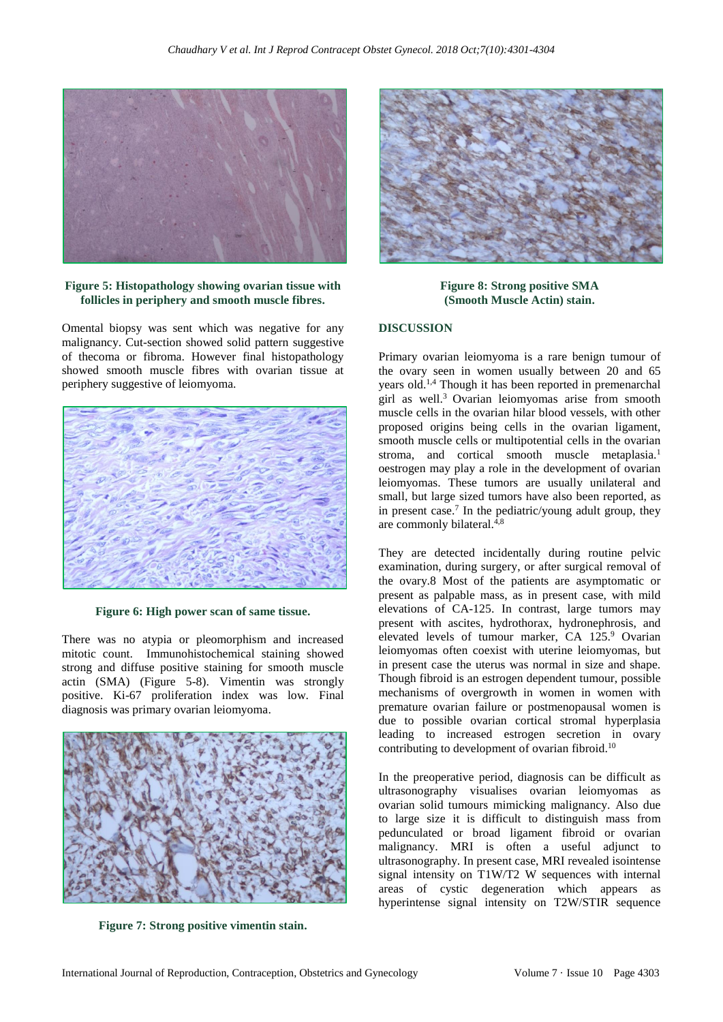

**Figure 5: Histopathology showing ovarian tissue with follicles in periphery and smooth muscle fibres.**

Omental biopsy was sent which was negative for any malignancy. Cut-section showed solid pattern suggestive of thecoma or fibroma. However final histopathology showed smooth muscle fibres with ovarian tissue at periphery suggestive of leiomyoma.



**Figure 6: High power scan of same tissue.**

There was no atypia or pleomorphism and increased mitotic count. Immunohistochemical staining showed strong and diffuse positive staining for smooth muscle actin (SMA) (Figure 5-8). Vimentin was strongly positive. Ki-67 proliferation index was low. Final diagnosis was primary ovarian leiomyoma.



**Figure 7: Strong positive vimentin stain.**



**Figure 8: Strong positive SMA (Smooth Muscle Actin) stain.**

#### **DISCUSSION**

Primary ovarian leiomyoma is a rare benign tumour of the ovary seen in women usually between 20 and 65 years old.1,4 Though it has been reported in premenarchal girl as well. <sup>3</sup> Ovarian leiomyomas arise from smooth muscle cells in the ovarian hilar blood vessels, with other proposed origins being cells in the ovarian ligament, smooth muscle cells or multipotential cells in the ovarian stroma, and cortical smooth muscle metaplasia.<sup>1</sup> oestrogen may play a role in the development of ovarian leiomyomas. These tumors are usually unilateral and small, but large sized tumors have also been reported, as in present case.<sup>7</sup> In the pediatric/young adult group, they are commonly bilateral.<sup>4,8</sup>

They are detected incidentally during routine pelvic examination, during surgery, or after surgical removal of the ovary.8 Most of the patients are asymptomatic or present as palpable mass, as in present case, with mild elevations of CA-125. In contrast, large tumors may present with ascites, hydrothorax, hydronephrosis, and elevated levels of tumour marker, CA 125.<sup>9</sup> Ovarian leiomyomas often coexist with uterine leiomyomas, but in present case the uterus was normal in size and shape. Though fibroid is an estrogen dependent tumour, possible mechanisms of overgrowth in women in women with premature ovarian failure or postmenopausal women is due to possible ovarian cortical stromal hyperplasia leading to increased estrogen secretion in ovary contributing to development of ovarian fibroid.<sup>10</sup>

In the preoperative period, diagnosis can be difficult as ultrasonography visualises ovarian leiomyomas as ovarian solid tumours mimicking malignancy. Also due to large size it is difficult to distinguish mass from pedunculated or broad ligament fibroid or ovarian malignancy. MRI is often a useful adjunct to ultrasonography. In present case, MRI revealed isointense signal intensity on T1W/T2 W sequences with internal areas of cystic degeneration which appears as hyperintense signal intensity on T2W/STIR sequence